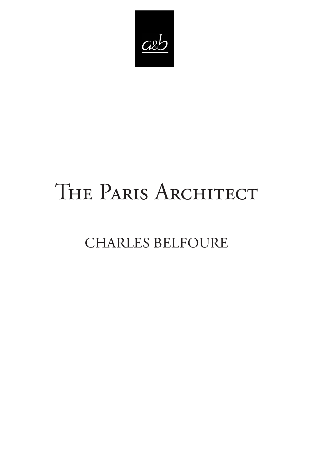

## THE PARIS ARCHITECT

Charles Belfoure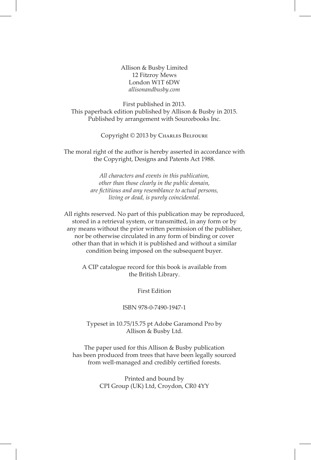Allison & Busby Limited 12 Fitzroy Mews London W1T 6DW *allisonandbusby.com*

First published in 2013. This paperback edition published by Allison & Busby in 2015. Published by arrangement with Sourcebooks Inc.

Copyright © 2013 by Charles Belfoure

The moral right of the author is hereby asserted in accordance with the Copyright, Designs and Patents Act 1988.

> *All characters and events in this publication, other than those clearly in the public domain, are fictitious and any resemblance to actual persons, living or dead, is purely coincidental.*

All rights reserved. No part of this publication may be reproduced, stored in a retrieval system, or transmitted, in any form or by any means without the prior written permission of the publisher, nor be otherwise circulated in any form of binding or cover other than that in which it is published and without a similar condition being imposed on the subsequent buyer.

A CIP catalogue record for this book is available from the British Library.

First Edition

## ISBN 978-0-7490-1947-1

Typeset in 10.75/15.75 pt Adobe Garamond Pro by Allison & Busby Ltd.

The paper used for this Allison & Busby publication has been produced from trees that have been legally sourced from well-managed and credibly certified forests.

> Printed and bound by CPI Group (UK) Ltd, Croydon, CR0 4YY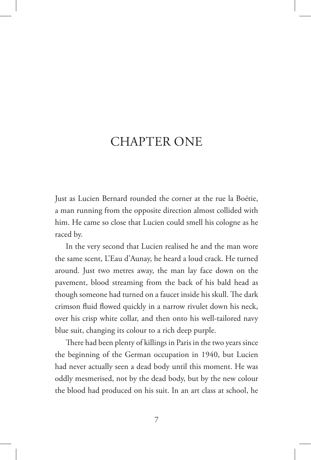## CHAPTER ONE

Just as Lucien Bernard rounded the corner at the rue la Boétie, a man running from the opposite direction almost collided with him. He came so close that Lucien could smell his cologne as he raced by.

In the very second that Lucien realised he and the man wore the same scent, L'Eau d'Aunay, he heard a loud crack. He turned around. Just two metres away, the man lay face down on the pavement, blood streaming from the back of his bald head as though someone had turned on a faucet inside his skull. The dark crimson fluid flowed quickly in a narrow rivulet down his neck, over his crisp white collar, and then onto his well-tailored navy blue suit, changing its colour to a rich deep purple.

There had been plenty of killings in Paris in the two years since the beginning of the German occupation in 1940, but Lucien had never actually seen a dead body until this moment. He was oddly mesmerised, not by the dead body, but by the new colour the blood had produced on his suit. In an art class at school, he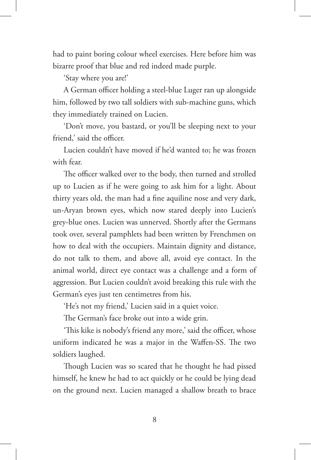had to paint boring colour wheel exercises. Here before him was bizarre proof that blue and red indeed made purple.

'Stay where you are!'

A German officer holding a steel-blue Luger ran up alongside him, followed by two tall soldiers with sub-machine guns, which they immediately trained on Lucien.

'Don't move, you bastard, or you'll be sleeping next to your friend,' said the officer.

Lucien couldn't have moved if he'd wanted to; he was frozen with fear.

The officer walked over to the body, then turned and strolled up to Lucien as if he were going to ask him for a light. About thirty years old, the man had a fine aquiline nose and very dark, un-Aryan brown eyes, which now stared deeply into Lucien's grey-blue ones. Lucien was unnerved. Shortly after the Germans took over, several pamphlets had been written by Frenchmen on how to deal with the occupiers. Maintain dignity and distance, do not talk to them, and above all, avoid eye contact. In the animal world, direct eye contact was a challenge and a form of aggression. But Lucien couldn't avoid breaking this rule with the German's eyes just ten centimetres from his.

'He's not my friend,' Lucien said in a quiet voice.

The German's face broke out into a wide grin.

'This kike is nobody's friend any more,' said the officer, whose uniform indicated he was a major in the Waffen-SS. The two soldiers laughed.

Though Lucien was so scared that he thought he had pissed himself, he knew he had to act quickly or he could be lying dead on the ground next. Lucien managed a shallow breath to brace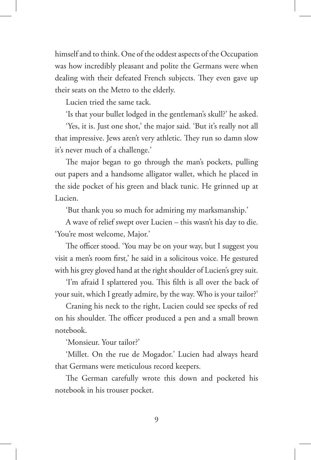himself and to think. One of the oddest aspects of the Occupation was how incredibly pleasant and polite the Germans were when dealing with their defeated French subjects. They even gave up their seats on the Metro to the elderly.

Lucien tried the same tack.

'Is that your bullet lodged in the gentleman's skull?' he asked.

'Yes, it is. Just one shot,' the major said. 'But it's really not all that impressive. Jews aren't very athletic. They run so damn slow it's never much of a challenge.'

The major began to go through the man's pockets, pulling out papers and a handsome alligator wallet, which he placed in the side pocket of his green and black tunic. He grinned up at Lucien.

'But thank you so much for admiring my marksmanship.'

A wave of relief swept over Lucien – this wasn't his day to die. 'You're most welcome, Major.'

The officer stood. 'You may be on your way, but I suggest you visit a men's room first,' he said in a solicitous voice. He gestured with his grey gloved hand at the right shoulder of Lucien's grey suit.

'I'm afraid I splattered you. This filth is all over the back of your suit, which I greatly admire, by the way. Who is your tailor?'

Craning his neck to the right, Lucien could see specks of red on his shoulder. The officer produced a pen and a small brown notebook.

'Monsieur. Your tailor?'

'Millet. On the rue de Mogador.' Lucien had always heard that Germans were meticulous record keepers.

The German carefully wrote this down and pocketed his notebook in his trouser pocket.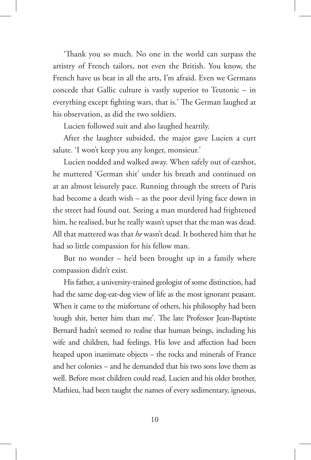'Thank you so much. No one in the world can surpass the artistry of French tailors, not even the British. You know, the French have us beat in all the arts, I'm afraid. Even we Germans concede that Gallic culture is vastly superior to Teutonic – in everything except fighting wars, that is.' The German laughed at his observation, as did the two soldiers.

Lucien followed suit and also laughed heartily.

After the laughter subsided, the major gave Lucien a curt salute. 'I won't keep you any longer, monsieur.'

Lucien nodded and walked away. When safely out of earshot, he muttered 'German shit' under his breath and continued on at an almost leisurely pace. Running through the streets of Paris had become a death wish – as the poor devil lying face down in the street had found out. Seeing a man murdered had frightened him, he realised, but he really wasn't upset that the man was dead. All that mattered was that *he* wasn't dead. It bothered him that he had so little compassion for his fellow man.

But no wonder – he'd been brought up in a family where compassion didn't exist.

His father, a university-trained geologist of some distinction, had had the same dog-eat-dog view of life as the most ignorant peasant. When it came to the misfortune of others, his philosophy had been 'tough shit, better him than me'. The late Professor Jean-Baptiste Bernard hadn't seemed to realise that human beings, including his wife and children, had feelings. His love and affection had been heaped upon inanimate objects – the rocks and minerals of France and her colonies – and he demanded that his two sons love them as well. Before most children could read, Lucien and his older brother, Mathieu, had been taught the names of every sedimentary, igneous,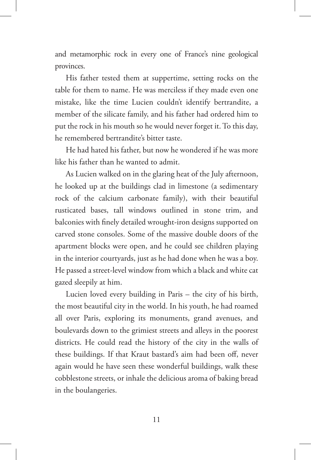and metamorphic rock in every one of France's nine geological provinces.

His father tested them at suppertime, setting rocks on the table for them to name. He was merciless if they made even one mistake, like the time Lucien couldn't identify bertrandite, a member of the silicate family, and his father had ordered him to put the rock in his mouth so he would never forget it. To this day, he remembered bertrandite's bitter taste.

He had hated his father, but now he wondered if he was more like his father than he wanted to admit.

As Lucien walked on in the glaring heat of the July afternoon, he looked up at the buildings clad in limestone (a sedimentary rock of the calcium carbonate family), with their beautiful rusticated bases, tall windows outlined in stone trim, and balconies with finely detailed wrought-iron designs supported on carved stone consoles. Some of the massive double doors of the apartment blocks were open, and he could see children playing in the interior courtyards, just as he had done when he was a boy. He passed a street-level window from which a black and white cat gazed sleepily at him.

Lucien loved every building in Paris – the city of his birth, the most beautiful city in the world. In his youth, he had roamed all over Paris, exploring its monuments, grand avenues, and boulevards down to the grimiest streets and alleys in the poorest districts. He could read the history of the city in the walls of these buildings. If that Kraut bastard's aim had been off, never again would he have seen these wonderful buildings, walk these cobblestone streets, or inhale the delicious aroma of baking bread in the boulangeries.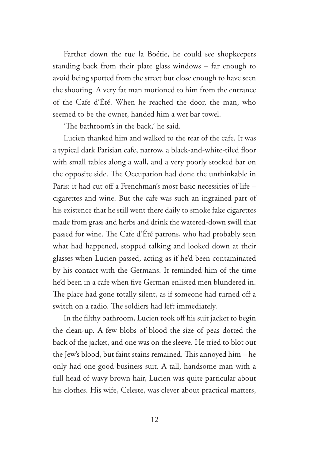Farther down the rue la Boétie, he could see shopkeepers standing back from their plate glass windows – far enough to avoid being spotted from the street but close enough to have seen the shooting. A very fat man motioned to him from the entrance of the Cafe d'Été. When he reached the door, the man, who seemed to be the owner, handed him a wet bar towel.

'The bathroom's in the back,' he said.

Lucien thanked him and walked to the rear of the cafe. It was a typical dark Parisian cafe, narrow, a black-and-white-tiled floor with small tables along a wall, and a very poorly stocked bar on the opposite side. The Occupation had done the unthinkable in Paris: it had cut off a Frenchman's most basic necessities of life – cigarettes and wine. But the cafe was such an ingrained part of his existence that he still went there daily to smoke fake cigarettes made from grass and herbs and drink the watered-down swill that passed for wine. The Cafe d'Été patrons, who had probably seen what had happened, stopped talking and looked down at their glasses when Lucien passed, acting as if he'd been contaminated by his contact with the Germans. It reminded him of the time he'd been in a cafe when five German enlisted men blundered in. The place had gone totally silent, as if someone had turned off a switch on a radio. The soldiers had left immediately.

In the filthy bathroom, Lucien took off his suit jacket to begin the clean-up. A few blobs of blood the size of peas dotted the back of the jacket, and one was on the sleeve. He tried to blot out the Jew's blood, but faint stains remained. This annoyed him – he only had one good business suit. A tall, handsome man with a full head of wavy brown hair, Lucien was quite particular about his clothes. His wife, Celeste, was clever about practical matters,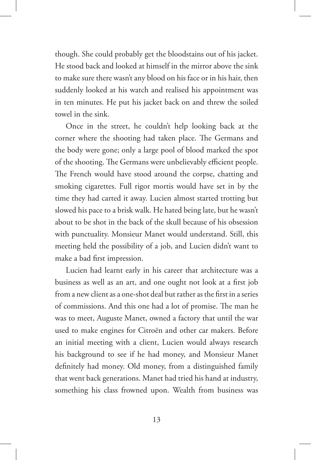though. She could probably get the bloodstains out of his jacket. He stood back and looked at himself in the mirror above the sink to make sure there wasn't any blood on his face or in his hair, then suddenly looked at his watch and realised his appointment was in ten minutes. He put his jacket back on and threw the soiled towel in the sink.

Once in the street, he couldn't help looking back at the corner where the shooting had taken place. The Germans and the body were gone; only a large pool of blood marked the spot of the shooting. The Germans were unbelievably efficient people. The French would have stood around the corpse, chatting and smoking cigarettes. Full rigor mortis would have set in by the time they had carted it away. Lucien almost started trotting but slowed his pace to a brisk walk. He hated being late, but he wasn't about to be shot in the back of the skull because of his obsession with punctuality. Monsieur Manet would understand. Still, this meeting held the possibility of a job, and Lucien didn't want to make a bad first impression.

Lucien had learnt early in his career that architecture was a business as well as an art, and one ought not look at a first job from a new client as a one-shot deal but rather as the first in a series of commissions. And this one had a lot of promise. The man he was to meet, Auguste Manet, owned a factory that until the war used to make engines for Citroën and other car makers. Before an initial meeting with a client, Lucien would always research his background to see if he had money, and Monsieur Manet definitely had money. Old money, from a distinguished family that went back generations. Manet had tried his hand at industry, something his class frowned upon. Wealth from business was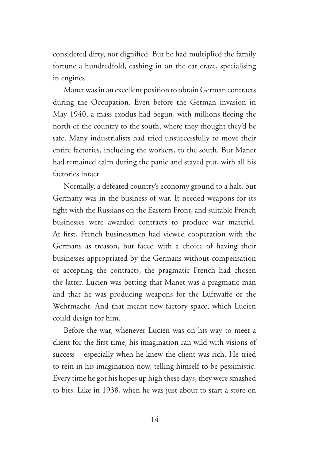considered dirty, not dignified. But he had multiplied the family fortune a hundredfold, cashing in on the car craze, specialising in engines.

Manet was in an excellent position to obtain German contracts during the Occupation. Even before the German invasion in May 1940, a mass exodus had begun, with millions fleeing the north of the country to the south, where they thought they'd be safe. Many industrialists had tried unsuccessfully to move their entire factories, including the workers, to the south. But Manet had remained calm during the panic and stayed put, with all his factories intact.

Normally, a defeated country's economy ground to a halt, but Germany was in the business of war. It needed weapons for its fight with the Russians on the Eastern Front, and suitable French businesses were awarded contracts to produce war materiel. At first, French businessmen had viewed cooperation with the Germans as treason, but faced with a choice of having their businesses appropriated by the Germans without compensation or accepting the contracts, the pragmatic French had chosen the latter. Lucien was betting that Manet was a pragmatic man and that he was producing weapons for the Luftwaffe or the Wehrmacht. And that meant new factory space, which Lucien could design for him.

Before the war, whenever Lucien was on his way to meet a client for the first time, his imagination ran wild with visions of success – especially when he knew the client was rich. He tried to rein in his imagination now, telling himself to be pessimistic. Every time he got his hopes up high these days, they were smashed to bits. Like in 1938, when he was just about to start a store on